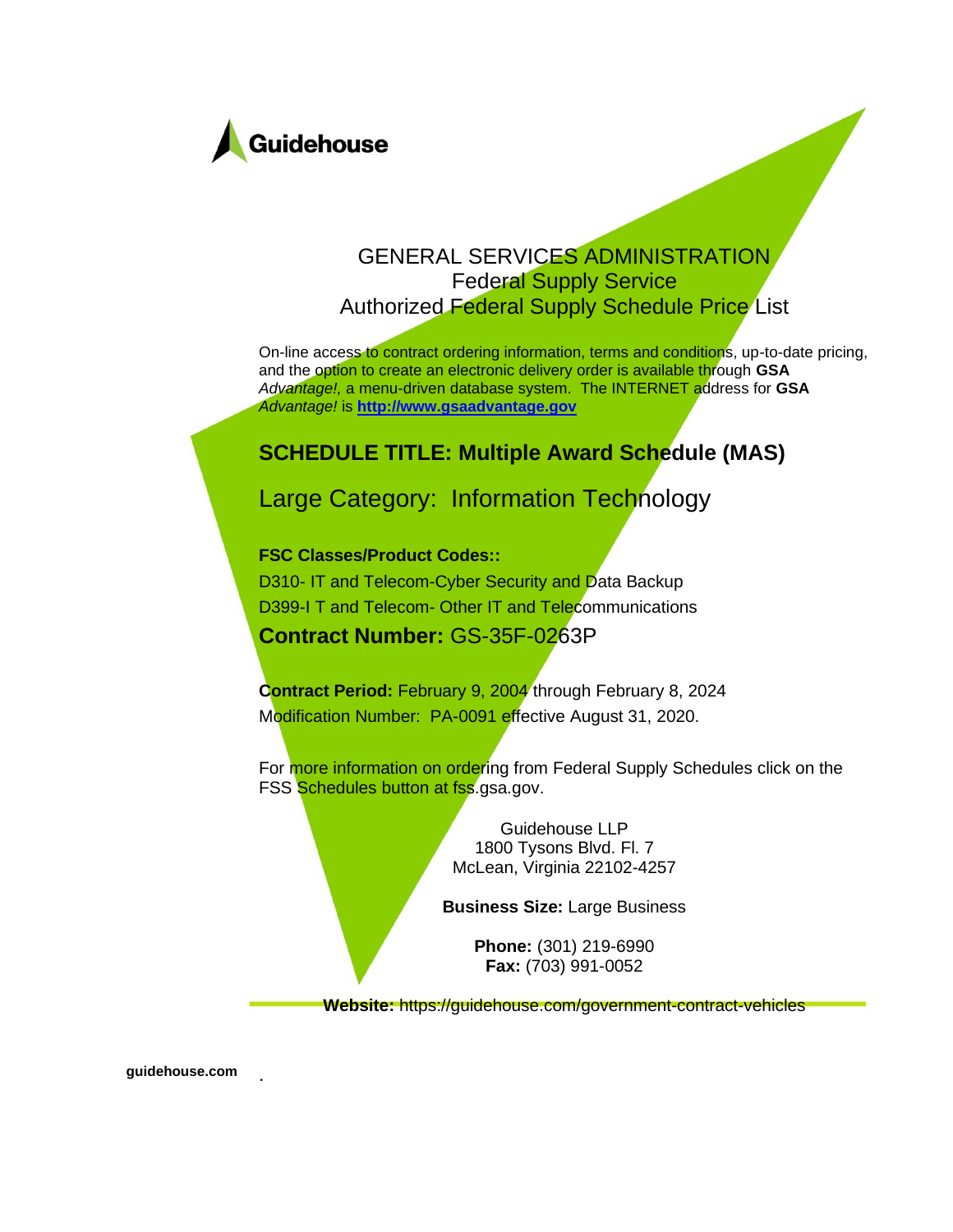

### GENERAL SERVICES ADMINISTRATION Federal Supply Service Authorized Federal Supply Schedule Price List

On-line access to contract ordering information, terms and conditions, up-to-date pricing, and the option to create an electronic delivery order is available through **GSA** *Advantage!,* a menu-driven database system. The INTERNET address for **GSA** *Advantage!* is **[http://www.gsaadvantage.gov](http://www.gsaadvantage.gov/)**

### **SCHEDULE TITLE: Multiple Award Schedule (MAS)**

### Large Category: Information Technology

#### **FSC Classes/Product Codes::**

D310- IT and Telecom-Cyber Security and Data Backup D399-I T and Telecom- Other IT and Telecommunications **Contract Number:** GS-35F-0263P

**Contract Period:** February 9, 2004 through February 8, 2024 Modification Number: PA-0091 effective August 31, 2020.

For more information on ordering from Federal Supply Schedules click on the FSS Schedules button at fss.gsa.gov.

> Guidehouse LLP 1800 Tysons Blvd. Fl. 7 McLean, Virginia 22102-4257

**Business Size:** Large Business

**Phone:** (301) 219-6990 **Fax:** (703) 991-0052

**Website:** https://guidehouse.com/government-contract-vehicles

**guidehouse.com** .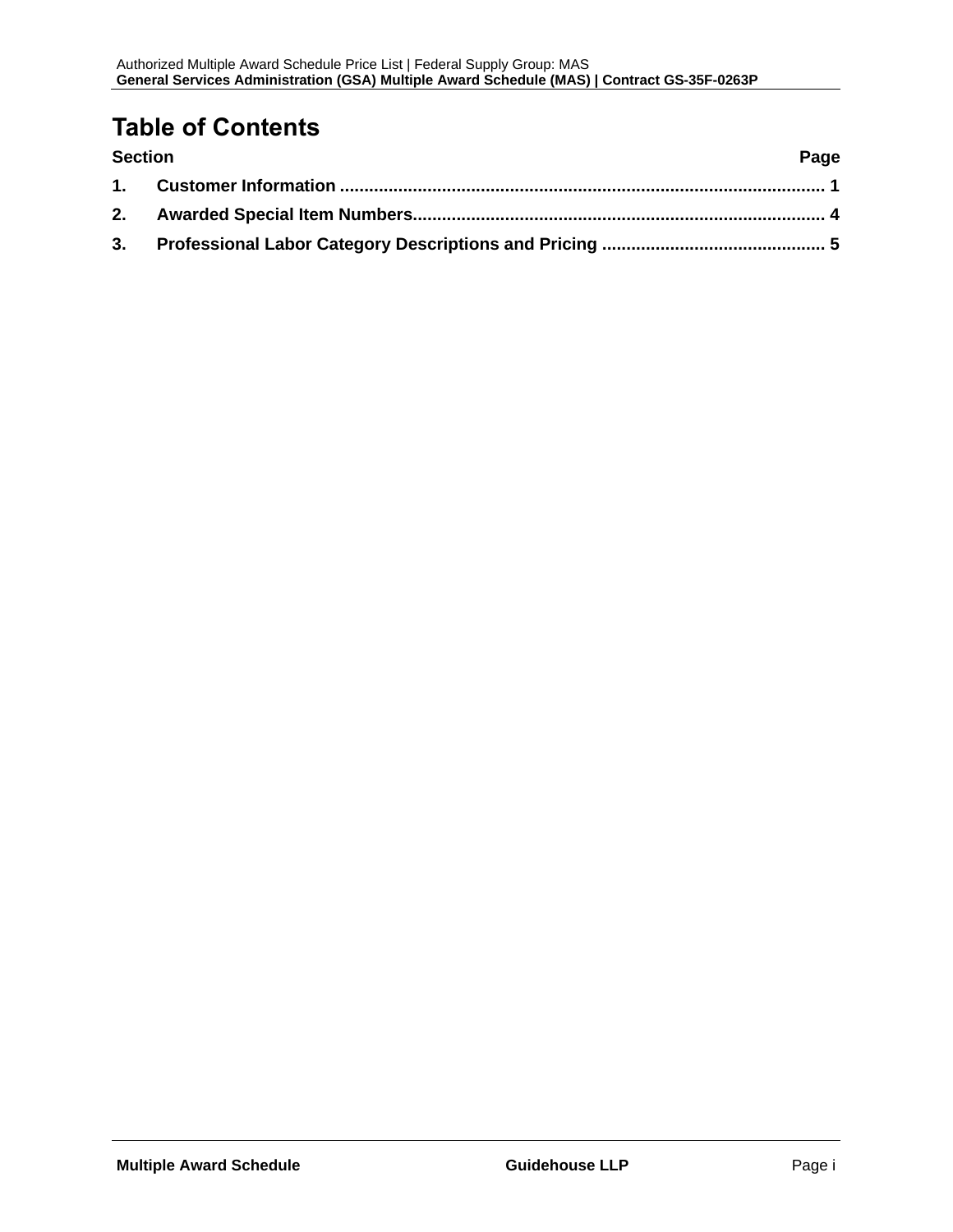## **Table of Contents**

| <b>Section</b> | Page |
|----------------|------|
|                |      |
|                |      |
|                |      |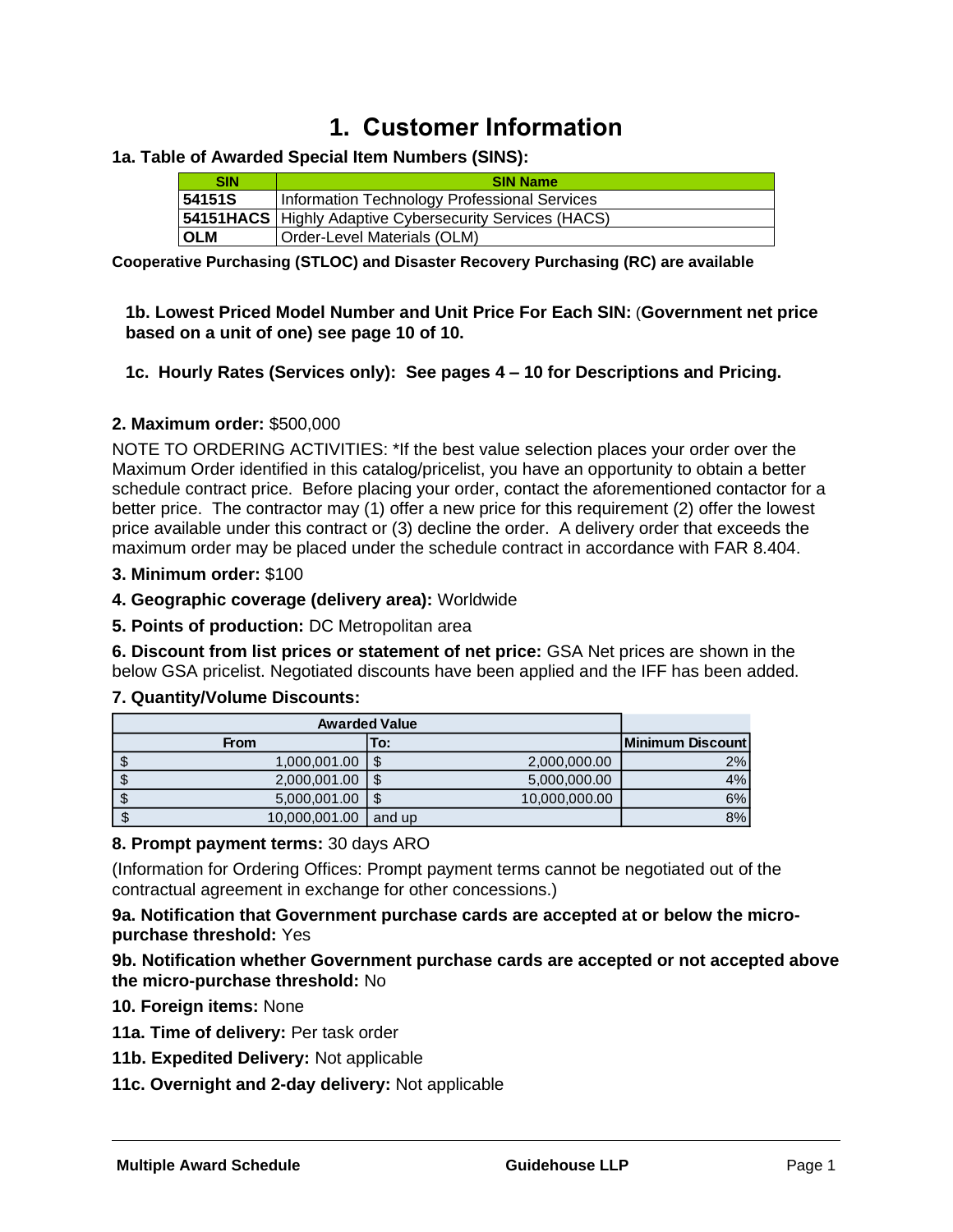## **1. Customer Information**

#### <span id="page-2-0"></span>**1a. Table of Awarded Special Item Numbers (SINS):**

| <b>SIN</b> | <b>SIN Name</b>                                                 |  |  |  |  |  |  |  |
|------------|-----------------------------------------------------------------|--|--|--|--|--|--|--|
| 54151S     | Information Technology Professional Services                    |  |  |  |  |  |  |  |
|            | <b>54151 HACS</b> Highly Adaptive Cybersecurity Services (HACS) |  |  |  |  |  |  |  |
| <b>OLM</b> | Order-Level Materials (OLM)                                     |  |  |  |  |  |  |  |

**Cooperative Purchasing (STLOC) and Disaster Recovery Purchasing (RC) are available** 

#### **1b. Lowest Priced Model Number and Unit Price For Each SIN:** (**Government net price based on a unit of one) see page 10 of 10.**

#### **1c. Hourly Rates (Services only): See pages 4 – 10 for Descriptions and Pricing.**

#### **2. Maximum order:** \$500,000

NOTE TO ORDERING ACTIVITIES: \*If the best value selection places your order over the Maximum Order identified in this catalog/pricelist, you have an opportunity to obtain a better schedule contract price. Before placing your order, contact the aforementioned contactor for a better price. The contractor may (1) offer a new price for this requirement (2) offer the lowest price available under this contract or (3) decline the order. A delivery order that exceeds the maximum order may be placed under the schedule contract in accordance with FAR 8.404.

#### **3. Minimum order:** \$100

**4. Geographic coverage (delivery area):** Worldwide

#### **5. Points of production:** DC Metropolitan area

**6. Discount from list prices or statement of net price:** GSA Net prices are shown in the below GSA pricelist. Negotiated discounts have been applied and the IFF has been added.

#### **7. Quantity/Volume Discounts:**

| <b>Awarded Value</b> |               |                  |
|----------------------|---------------|------------------|
| <b>From</b>          | To:           | Minimum Discount |
| 1,000,001.00<br>\$.  | 2,000,000.00  | 2%               |
| 2,000,001.00         | 5,000,000.00  | 4%               |
| 5,000,001.00         | 10,000,000.00 | 6%               |
| 10,000,001.00<br>\$  | and up        | 8%               |

#### **8. Prompt payment terms:** 30 days ARO

(Information for Ordering Offices: Prompt payment terms cannot be negotiated out of the contractual agreement in exchange for other concessions.)

#### **9a. Notification that Government purchase cards are accepted at or below the micropurchase threshold:** Yes

#### **9b. Notification whether Government purchase cards are accepted or not accepted above the micro-purchase threshold:** No

#### **10. Foreign items:** None

- **11a. Time of delivery:** Per task order
- **11b. Expedited Delivery:** Not applicable
- **11c. Overnight and 2-day delivery:** Not applicable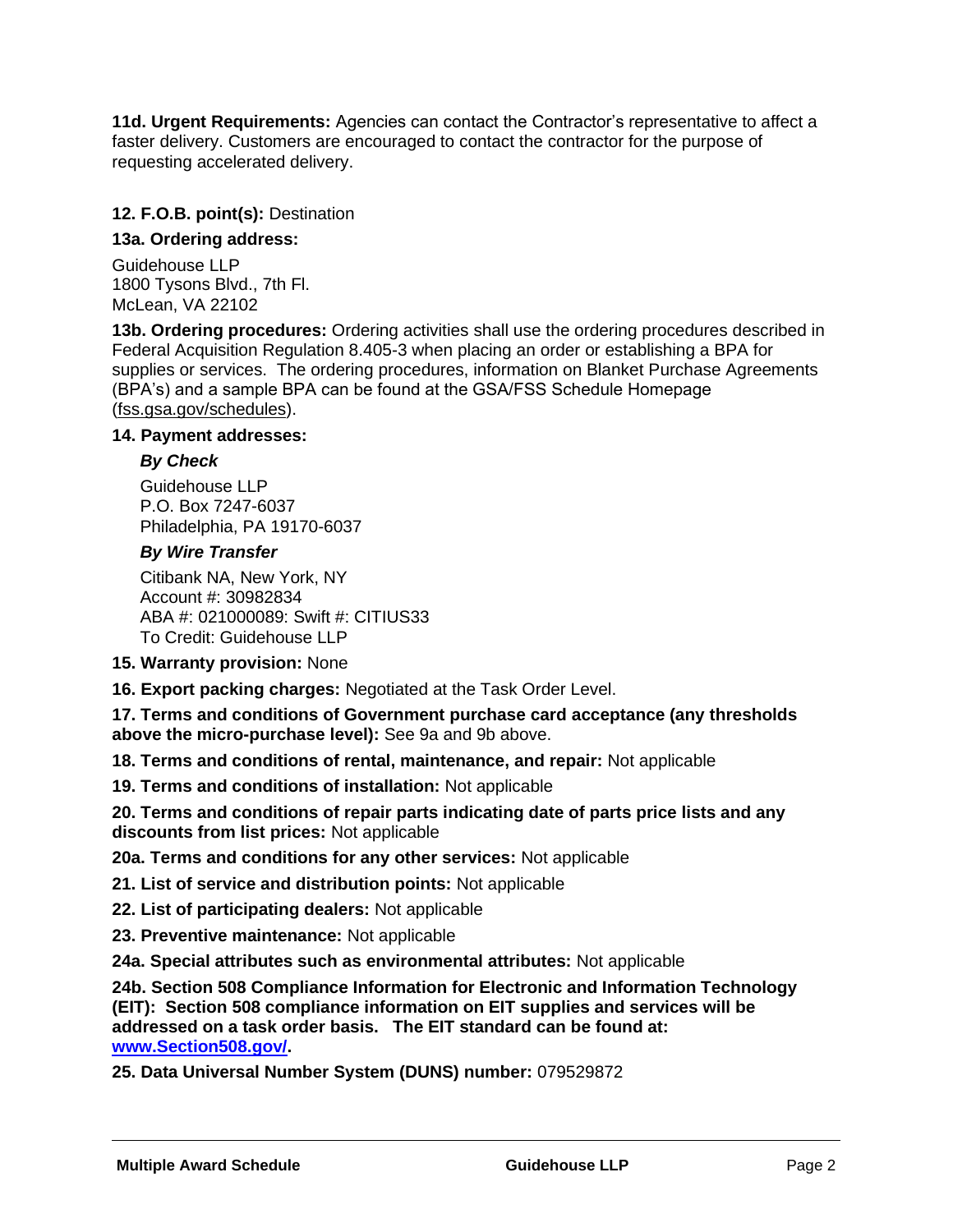**11d. Urgent Requirements:** Agencies can contact the Contractor's representative to affect a faster delivery. Customers are encouraged to contact the contractor for the purpose of requesting accelerated delivery.

#### **12. F.O.B. point(s):** Destination

#### **13a. Ordering address:**

Guidehouse LLP 1800 Tysons Blvd., 7th Fl. McLean, VA 22102

**13b. Ordering procedures:** Ordering activities shall use the ordering procedures described in Federal Acquisition Regulation 8.405-3 when placing an order or establishing a BPA for supplies or services. The ordering procedures, information on Blanket Purchase Agreements (BPA's) and a sample BPA can be found at the GSA/FSS Schedule Homepage (fss.gsa.gov/schedules).

#### **14. Payment addresses:**

#### *By Check*

Guidehouse LLP P.O. Box 7247-6037 Philadelphia, PA 19170-6037

#### *By Wire Transfer*

Citibank NA, New York, NY Account #: 30982834 ABA #: 021000089: Swift #: CITIUS33 To Credit: Guidehouse LLP

- **15. Warranty provision:** None
- **16. Export packing charges:** Negotiated at the Task Order Level.

**17. Terms and conditions of Government purchase card acceptance (any thresholds above the micro-purchase level):** See 9a and 9b above.

**18. Terms and conditions of rental, maintenance, and repair:** Not applicable

**19. Terms and conditions of installation:** Not applicable

**20. Terms and conditions of repair parts indicating date of parts price lists and any discounts from list prices:** Not applicable

**20a. Terms and conditions for any other services:** Not applicable

**21. List of service and distribution points:** Not applicable

**22. List of participating dealers:** Not applicable

**23. Preventive maintenance:** Not applicable

**24a. Special attributes such as environmental attributes:** Not applicable

**24b. Section 508 Compliance Information for Electronic and Information Technology (EIT): Section 508 compliance information on EIT supplies and services will be addressed on a task order basis. The EIT standard can be found at: [www.Section508.gov/.](http://www.section508.gov/)**

**25. Data Universal Number System (DUNS) number:** 079529872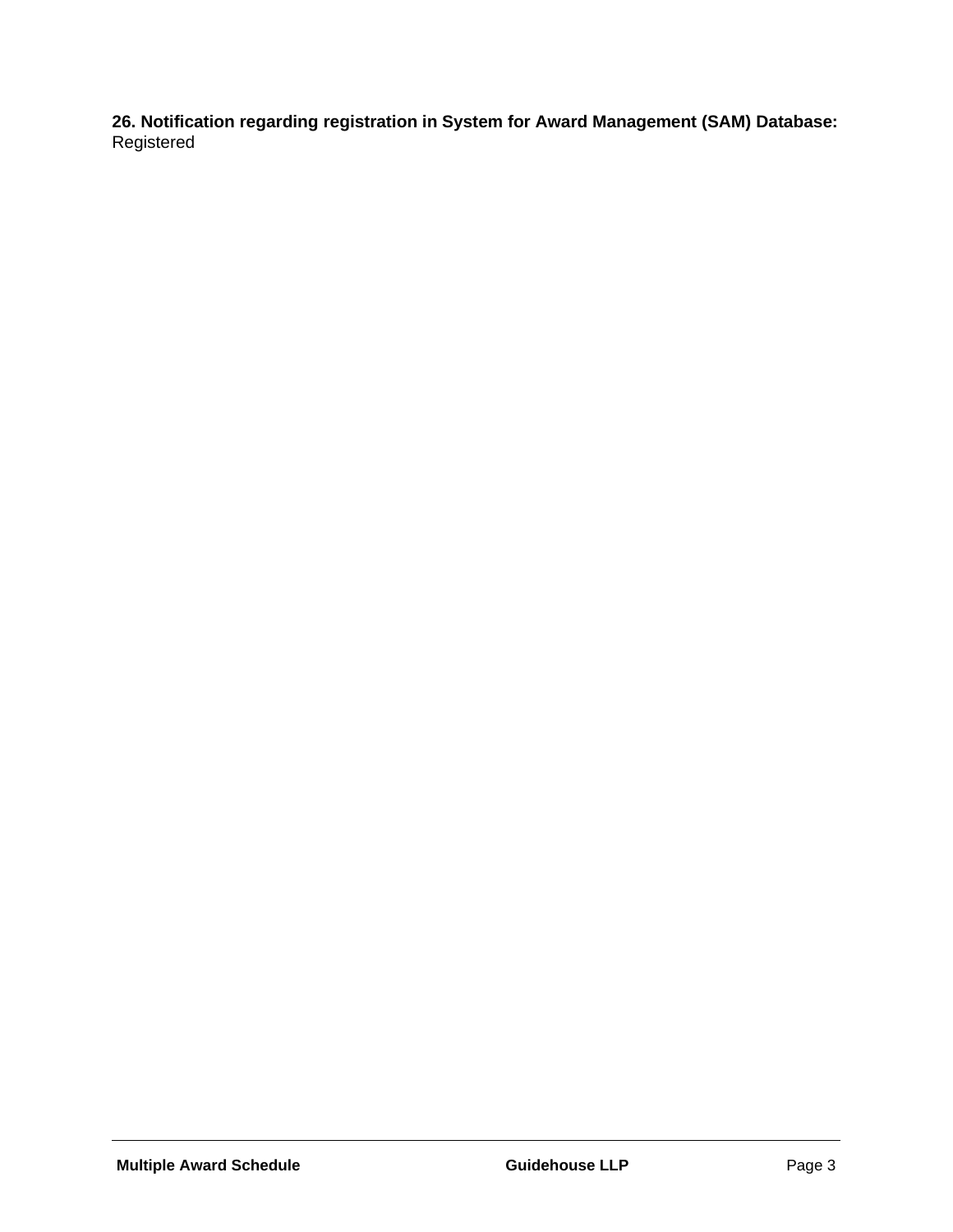**26. Notification regarding registration in System for Award Management (SAM) Database:**  Registered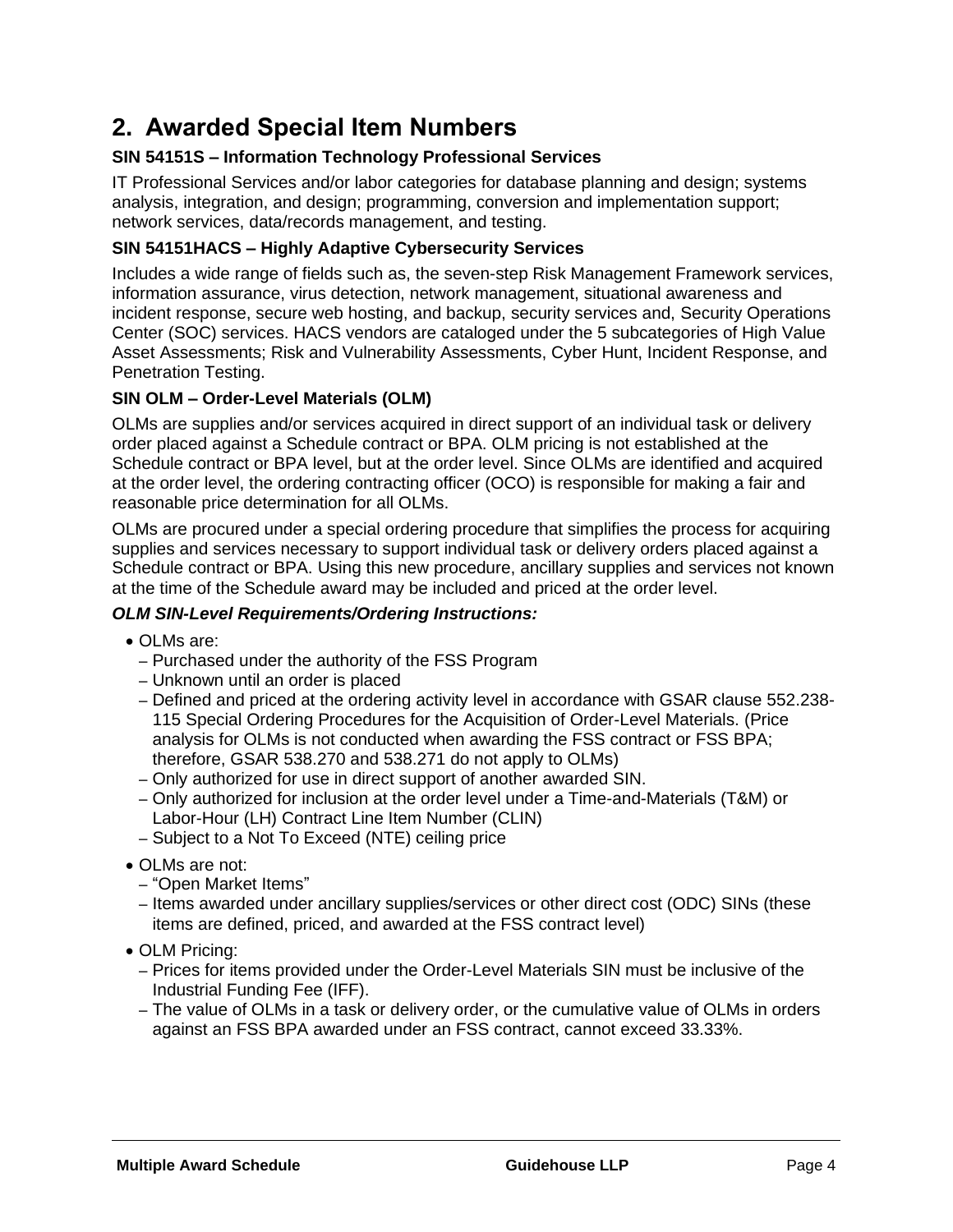## <span id="page-5-0"></span>**2. Awarded Special Item Numbers**

#### **SIN 54151S – Information Technology Professional Services**

IT Professional Services and/or labor categories for database planning and design; systems analysis, integration, and design; programming, conversion and implementation support; network services, data/records management, and testing.

#### **SIN 54151HACS – Highly Adaptive Cybersecurity Services**

Includes a wide range of fields such as, the seven-step Risk Management Framework services, information assurance, virus detection, network management, situational awareness and incident response, secure web hosting, and backup, security services and, Security Operations Center (SOC) services. HACS vendors are cataloged under the 5 subcategories of High Value Asset Assessments; Risk and Vulnerability Assessments, Cyber Hunt, Incident Response, and Penetration Testing.

#### **SIN OLM – Order-Level Materials (OLM)**

OLMs are supplies and/or services acquired in direct support of an individual task or delivery order placed against a Schedule contract or BPA. OLM pricing is not established at the Schedule contract or BPA level, but at the order level. Since OLMs are identified and acquired at the order level, the ordering contracting officer (OCO) is responsible for making a fair and reasonable price determination for all OLMs.

OLMs are procured under a special ordering procedure that simplifies the process for acquiring supplies and services necessary to support individual task or delivery orders placed against a Schedule contract or BPA. Using this new procedure, ancillary supplies and services not known at the time of the Schedule award may be included and priced at the order level.

#### *OLM SIN-Level Requirements/Ordering Instructions:*

- OLMs are:
	- Purchased under the authority of the FSS Program
	- Unknown until an order is placed
	- Defined and priced at the ordering activity level in accordance with GSAR clause 552.238- 115 Special Ordering Procedures for the Acquisition of Order-Level Materials. (Price analysis for OLMs is not conducted when awarding the FSS contract or FSS BPA; therefore, GSAR 538.270 and 538.271 do not apply to OLMs)
	- Only authorized for use in direct support of another awarded SIN.
	- Only authorized for inclusion at the order level under a Time-and-Materials (T&M) or Labor-Hour (LH) Contract Line Item Number (CLIN)
	- Subject to a Not To Exceed (NTE) ceiling price
- OLMs are not:
	- "Open Market Items"
	- Items awarded under ancillary supplies/services or other direct cost (ODC) SINs (these items are defined, priced, and awarded at the FSS contract level)
- OLM Pricing:
	- Prices for items provided under the Order-Level Materials SIN must be inclusive of the Industrial Funding Fee (IFF).
	- The value of OLMs in a task or delivery order, or the cumulative value of OLMs in orders against an FSS BPA awarded under an FSS contract, cannot exceed 33.33%.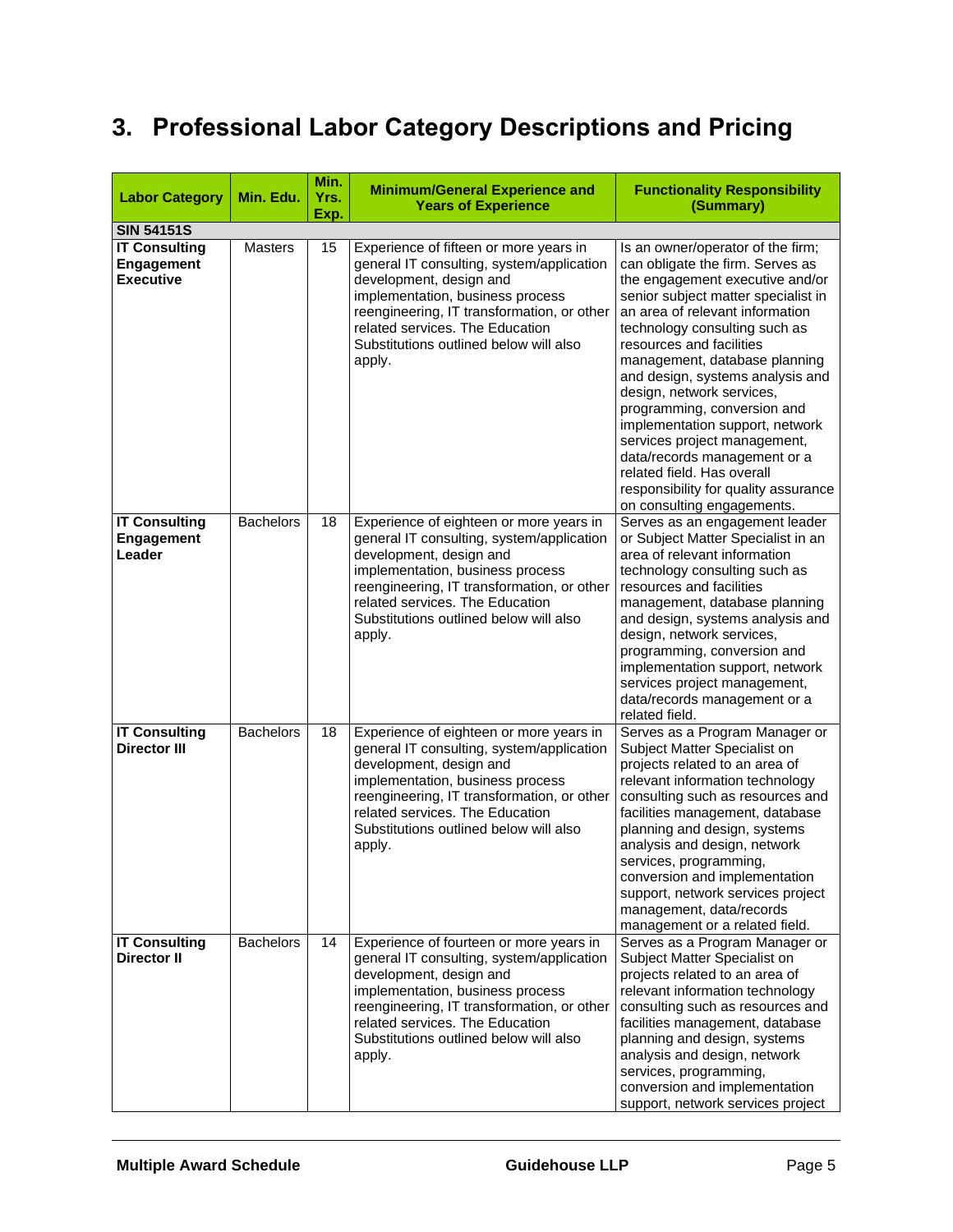# <span id="page-6-0"></span>**3. Professional Labor Category Descriptions and Pricing**

| <b>Labor Category</b>                                  | Min. Edu.        | Min.<br>Yrs.<br>Exp. | <b>Minimum/General Experience and</b><br><b>Years of Experience</b>                                                                                                                                                                                                                      | <b>Functionality Responsibility</b><br>(Summary)                                                                                                                                                                                                                                                                                                                                                                                                                                                                                                                                        |  |
|--------------------------------------------------------|------------------|----------------------|------------------------------------------------------------------------------------------------------------------------------------------------------------------------------------------------------------------------------------------------------------------------------------------|-----------------------------------------------------------------------------------------------------------------------------------------------------------------------------------------------------------------------------------------------------------------------------------------------------------------------------------------------------------------------------------------------------------------------------------------------------------------------------------------------------------------------------------------------------------------------------------------|--|
| <b>SIN 54151S</b>                                      |                  |                      |                                                                                                                                                                                                                                                                                          |                                                                                                                                                                                                                                                                                                                                                                                                                                                                                                                                                                                         |  |
| <b>IT Consulting</b><br>Engagement<br><b>Executive</b> | <b>Masters</b>   | 15                   | Experience of fifteen or more years in<br>general IT consulting, system/application<br>development, design and<br>implementation, business process<br>reengineering, IT transformation, or other<br>related services. The Education<br>Substitutions outlined below will also<br>apply.  | Is an owner/operator of the firm;<br>can obligate the firm. Serves as<br>the engagement executive and/or<br>senior subject matter specialist in<br>an area of relevant information<br>technology consulting such as<br>resources and facilities<br>management, database planning<br>and design, systems analysis and<br>design, network services,<br>programming, conversion and<br>implementation support, network<br>services project management,<br>data/records management or a<br>related field. Has overall<br>responsibility for quality assurance<br>on consulting engagements. |  |
| <b>IT Consulting</b><br>Engagement<br>Leader           | <b>Bachelors</b> | 18                   | Experience of eighteen or more years in<br>general IT consulting, system/application<br>development, design and<br>implementation, business process<br>reengineering, IT transformation, or other<br>related services. The Education<br>Substitutions outlined below will also<br>apply. | Serves as an engagement leader<br>or Subject Matter Specialist in an<br>area of relevant information<br>technology consulting such as<br>resources and facilities<br>management, database planning<br>and design, systems analysis and<br>design, network services,<br>programming, conversion and<br>implementation support, network<br>services project management,<br>data/records management or a<br>related field.                                                                                                                                                                 |  |
| <b>IT Consulting</b><br><b>Director III</b>            | <b>Bachelors</b> | 18                   | Experience of eighteen or more years in<br>general IT consulting, system/application<br>development, design and<br>implementation, business process<br>reengineering, IT transformation, or other<br>related services. The Education<br>Substitutions outlined below will also<br>apply. | Serves as a Program Manager or<br>Subject Matter Specialist on<br>projects related to an area of<br>relevant information technology<br>consulting such as resources and<br>facilities management, database<br>planning and design, systems<br>analysis and design, network<br>services, programming,<br>conversion and implementation<br>support, network services project<br>management, data/records<br>management or a related field.                                                                                                                                                |  |
| <b>IT Consulting</b><br><b>Director II</b>             | <b>Bachelors</b> | 14                   | Experience of fourteen or more years in<br>general IT consulting, system/application<br>development, design and<br>implementation, business process<br>reengineering, IT transformation, or other<br>related services. The Education<br>Substitutions outlined below will also<br>apply. | Serves as a Program Manager or<br>Subject Matter Specialist on<br>projects related to an area of<br>relevant information technology<br>consulting such as resources and<br>facilities management, database<br>planning and design, systems<br>analysis and design, network<br>services, programming,<br>conversion and implementation<br>support, network services project                                                                                                                                                                                                              |  |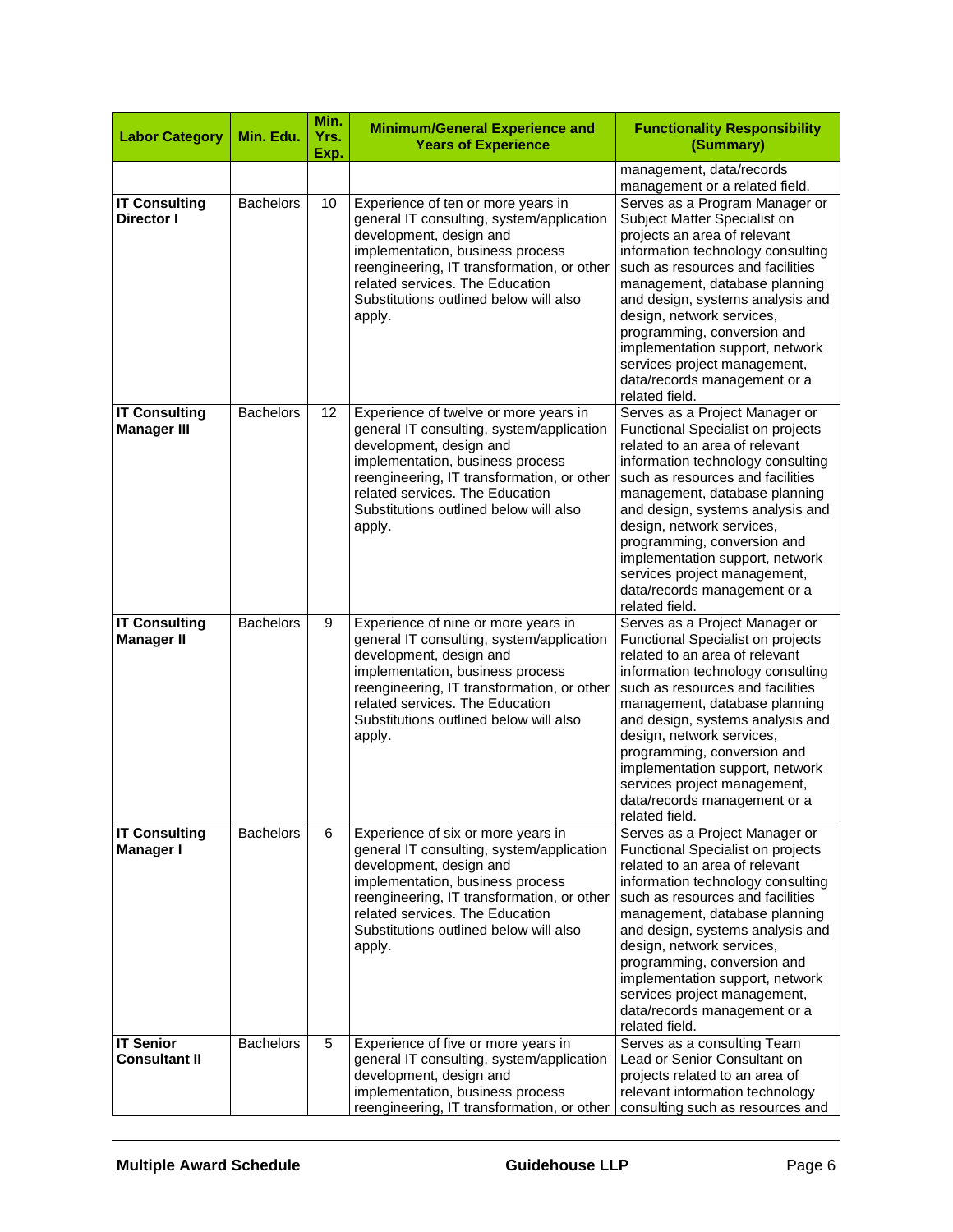| <b>Labor Category</b>                      | Min. Edu.        | Min.<br>Yrs.<br>Exp. | <b>Minimum/General Experience and</b><br><b>Years of Experience</b>                                                                                                                                                                                                                    | <b>Functionality Responsibility</b><br>(Summary)                                                                                                                                                                                                                                                                                                                                                                                     |  |
|--------------------------------------------|------------------|----------------------|----------------------------------------------------------------------------------------------------------------------------------------------------------------------------------------------------------------------------------------------------------------------------------------|--------------------------------------------------------------------------------------------------------------------------------------------------------------------------------------------------------------------------------------------------------------------------------------------------------------------------------------------------------------------------------------------------------------------------------------|--|
|                                            |                  |                      |                                                                                                                                                                                                                                                                                        | management, data/records<br>management or a related field.                                                                                                                                                                                                                                                                                                                                                                           |  |
| <b>IT Consulting</b><br><b>Director I</b>  | <b>Bachelors</b> | 10                   | Experience of ten or more years in<br>general IT consulting, system/application<br>development, design and<br>implementation, business process<br>reengineering, IT transformation, or other<br>related services. The Education<br>Substitutions outlined below will also<br>apply.    | Serves as a Program Manager or<br>Subject Matter Specialist on<br>projects an area of relevant<br>information technology consulting<br>such as resources and facilities<br>management, database planning<br>and design, systems analysis and<br>design, network services,<br>programming, conversion and<br>implementation support, network<br>services project management,<br>data/records management or a<br>related field.        |  |
| <b>IT Consulting</b><br><b>Manager III</b> | <b>Bachelors</b> | 12                   | Experience of twelve or more years in<br>general IT consulting, system/application<br>development, design and<br>implementation, business process<br>reengineering, IT transformation, or other<br>related services. The Education<br>Substitutions outlined below will also<br>apply. | Serves as a Project Manager or<br>Functional Specialist on projects<br>related to an area of relevant<br>information technology consulting<br>such as resources and facilities<br>management, database planning<br>and design, systems analysis and<br>design, network services,<br>programming, conversion and<br>implementation support, network<br>services project management,<br>data/records management or a<br>related field. |  |
| <b>IT Consulting</b><br><b>Manager II</b>  | <b>Bachelors</b> | 9                    | Experience of nine or more years in<br>general IT consulting, system/application<br>development, design and<br>implementation, business process<br>reengineering, IT transformation, or other<br>related services. The Education<br>Substitutions outlined below will also<br>apply.   | Serves as a Project Manager or<br>Functional Specialist on projects<br>related to an area of relevant<br>information technology consulting<br>such as resources and facilities<br>management, database planning<br>and design, systems analysis and<br>design, network services,<br>programming, conversion and<br>implementation support, network<br>services project management,<br>data/records management or a<br>related field. |  |
| <b>IT Consulting</b><br>Manager I          | <b>Bachelors</b> | 6                    | Experience of six or more years in<br>general IT consulting, system/application<br>development, design and<br>implementation, business process<br>reengineering, IT transformation, or other<br>related services. The Education<br>Substitutions outlined below will also<br>apply.    | Serves as a Project Manager or<br>Functional Specialist on projects<br>related to an area of relevant<br>information technology consulting<br>such as resources and facilities<br>management, database planning<br>and design, systems analysis and<br>design, network services,<br>programming, conversion and<br>implementation support, network<br>services project management,<br>data/records management or a<br>related field. |  |
| <b>IT Senior</b><br><b>Consultant II</b>   | <b>Bachelors</b> | 5                    | Experience of five or more years in<br>general IT consulting, system/application<br>development, design and<br>implementation, business process<br>reengineering, IT transformation, or other                                                                                          | Serves as a consulting Team<br>Lead or Senior Consultant on<br>projects related to an area of<br>relevant information technology<br>consulting such as resources and                                                                                                                                                                                                                                                                 |  |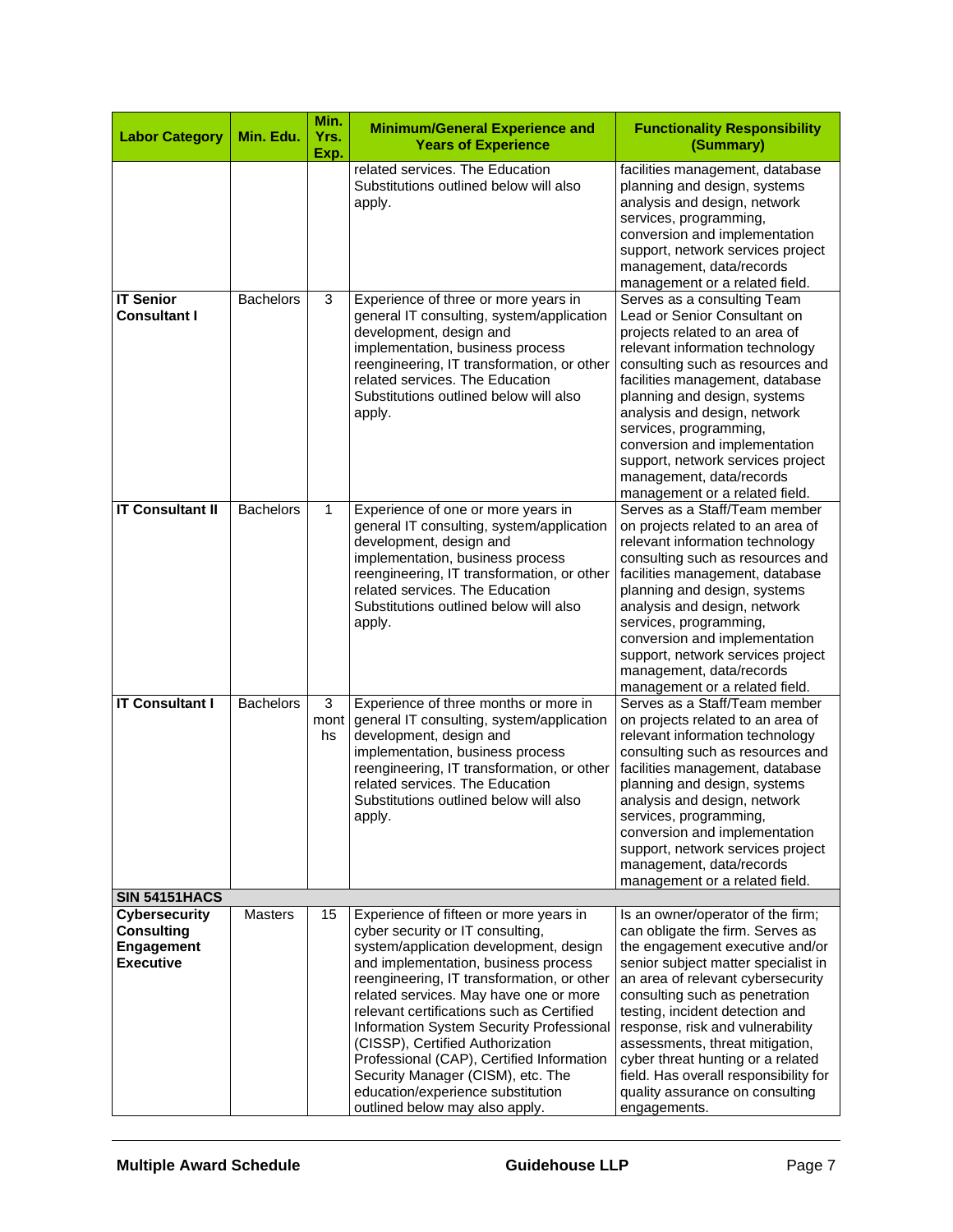| <b>Labor Category</b>                                                       | Min. Edu.        | Min.<br>Yrs.<br>Exp. | <b>Minimum/General Experience and</b><br><b>Years of Experience</b>                                                                                                                                                                                                                                                                                                                                                                                                                                                                        | <b>Functionality Responsibility</b><br>(Summary)                                                                                                                                                                                                                                                                                                                                                                                                                  |
|-----------------------------------------------------------------------------|------------------|----------------------|--------------------------------------------------------------------------------------------------------------------------------------------------------------------------------------------------------------------------------------------------------------------------------------------------------------------------------------------------------------------------------------------------------------------------------------------------------------------------------------------------------------------------------------------|-------------------------------------------------------------------------------------------------------------------------------------------------------------------------------------------------------------------------------------------------------------------------------------------------------------------------------------------------------------------------------------------------------------------------------------------------------------------|
|                                                                             |                  |                      | related services. The Education<br>Substitutions outlined below will also<br>apply.                                                                                                                                                                                                                                                                                                                                                                                                                                                        | facilities management, database<br>planning and design, systems<br>analysis and design, network<br>services, programming,<br>conversion and implementation<br>support, network services project<br>management, data/records<br>management or a related field.                                                                                                                                                                                                     |
| <b>IT Senior</b><br><b>Consultant I</b>                                     | <b>Bachelors</b> | 3                    | Experience of three or more years in<br>general IT consulting, system/application<br>development, design and<br>implementation, business process<br>reengineering, IT transformation, or other<br>related services. The Education<br>Substitutions outlined below will also<br>apply.                                                                                                                                                                                                                                                      | Serves as a consulting Team<br>Lead or Senior Consultant on<br>projects related to an area of<br>relevant information technology<br>consulting such as resources and<br>facilities management, database<br>planning and design, systems<br>analysis and design, network<br>services, programming,<br>conversion and implementation<br>support, network services project<br>management, data/records<br>management or a related field.                             |
| <b>IT Consultant II</b>                                                     | <b>Bachelors</b> | $\mathbf{1}$         | Experience of one or more years in<br>general IT consulting, system/application<br>development, design and<br>implementation, business process<br>reengineering, IT transformation, or other<br>related services. The Education<br>Substitutions outlined below will also<br>apply.                                                                                                                                                                                                                                                        | Serves as a Staff/Team member<br>on projects related to an area of<br>relevant information technology<br>consulting such as resources and<br>facilities management, database<br>planning and design, systems<br>analysis and design, network<br>services, programming,<br>conversion and implementation<br>support, network services project<br>management, data/records<br>management or a related field.                                                        |
| <b>IT Consultant I</b>                                                      | <b>Bachelors</b> | 3<br>mont<br>hs      | Experience of three months or more in<br>general IT consulting, system/application<br>development, design and<br>implementation, business process<br>reengineering, IT transformation, or other<br>related services. The Education<br>Substitutions outlined below will also<br>apply.                                                                                                                                                                                                                                                     | Serves as a Staff/Team member<br>on projects related to an area of<br>relevant information technology<br>consulting such as resources and<br>facilities management, database<br>planning and design, systems<br>analysis and design, network<br>services, programming,<br>conversion and implementation<br>support, network services project<br>management, data/records<br>management or a related field.                                                        |
| <b>SIN 54151HACS</b>                                                        |                  |                      |                                                                                                                                                                                                                                                                                                                                                                                                                                                                                                                                            |                                                                                                                                                                                                                                                                                                                                                                                                                                                                   |
| <b>Cybersecurity</b><br><b>Consulting</b><br>Engagement<br><b>Executive</b> | <b>Masters</b>   | 15                   | Experience of fifteen or more years in<br>cyber security or IT consulting,<br>system/application development, design<br>and implementation, business process<br>reengineering, IT transformation, or other<br>related services. May have one or more<br>relevant certifications such as Certified<br>Information System Security Professional<br>(CISSP), Certified Authorization<br>Professional (CAP), Certified Information<br>Security Manager (CISM), etc. The<br>education/experience substitution<br>outlined below may also apply. | Is an owner/operator of the firm;<br>can obligate the firm. Serves as<br>the engagement executive and/or<br>senior subject matter specialist in<br>an area of relevant cybersecurity<br>consulting such as penetration<br>testing, incident detection and<br>response, risk and vulnerability<br>assessments, threat mitigation,<br>cyber threat hunting or a related<br>field. Has overall responsibility for<br>quality assurance on consulting<br>engagements. |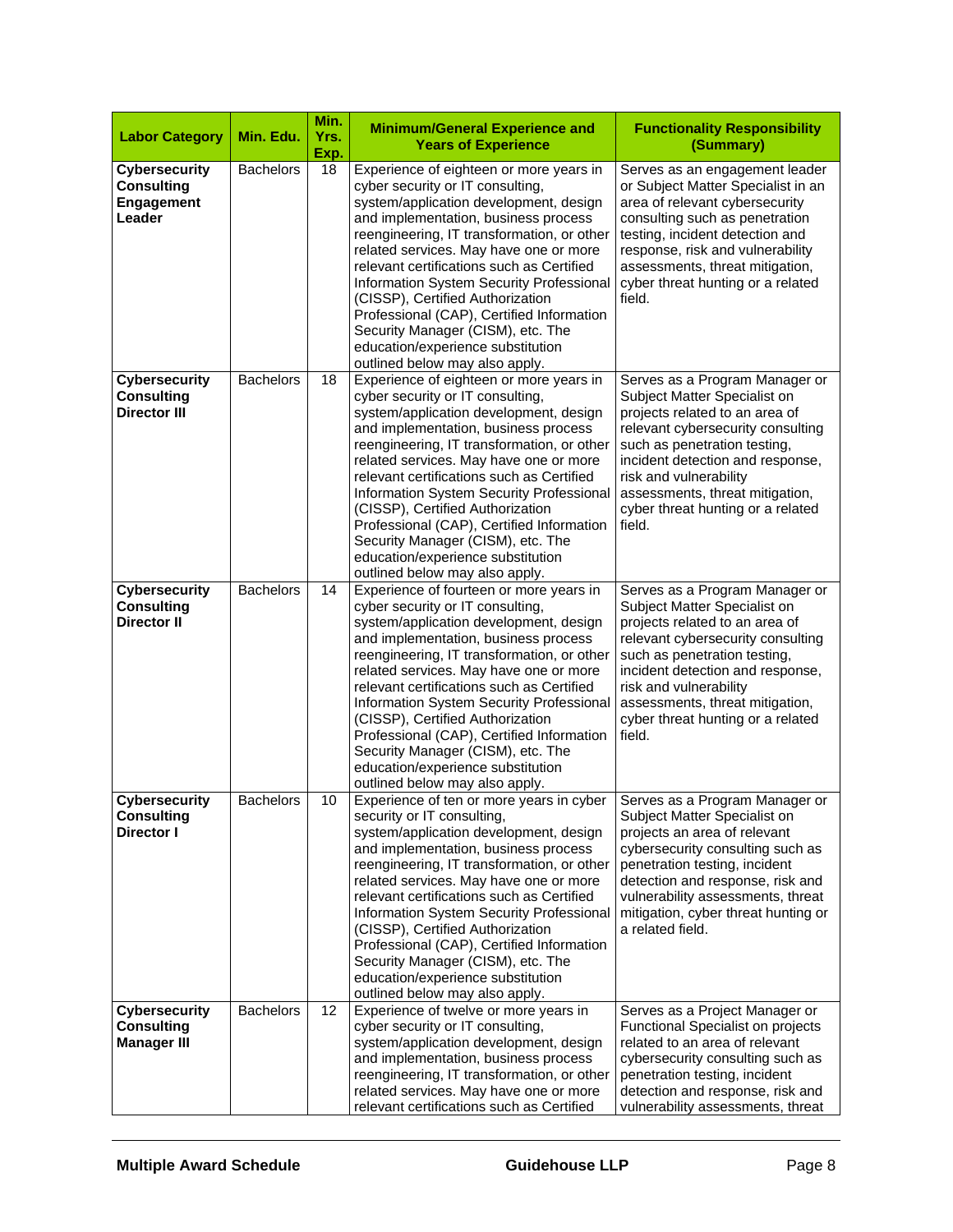| <b>Labor Category</b>                                             | Min. Edu.        | Min.<br>Yrs.<br>Exp. | <b>Minimum/General Experience and</b><br><b>Years of Experience</b>                                                                                                                                                                                                                                                                                                                                                                                                                                                                         | <b>Functionality Responsibility</b><br>(Summary)                                                                                                                                                                                                                                                                      |  |
|-------------------------------------------------------------------|------------------|----------------------|---------------------------------------------------------------------------------------------------------------------------------------------------------------------------------------------------------------------------------------------------------------------------------------------------------------------------------------------------------------------------------------------------------------------------------------------------------------------------------------------------------------------------------------------|-----------------------------------------------------------------------------------------------------------------------------------------------------------------------------------------------------------------------------------------------------------------------------------------------------------------------|--|
| <b>Cybersecurity</b><br><b>Consulting</b><br>Engagement<br>Leader | <b>Bachelors</b> | 18                   | Experience of eighteen or more years in<br>cyber security or IT consulting,<br>system/application development, design<br>and implementation, business process<br>reengineering, IT transformation, or other<br>related services. May have one or more<br>relevant certifications such as Certified<br>Information System Security Professional<br>(CISSP), Certified Authorization<br>Professional (CAP), Certified Information<br>Security Manager (CISM), etc. The<br>education/experience substitution<br>outlined below may also apply. | Serves as an engagement leader<br>or Subject Matter Specialist in an<br>area of relevant cybersecurity<br>consulting such as penetration<br>testing, incident detection and<br>response, risk and vulnerability<br>assessments, threat mitigation,<br>cyber threat hunting or a related<br>field.                     |  |
| <b>Cybersecurity</b><br><b>Consulting</b><br><b>Director III</b>  | <b>Bachelors</b> | 18                   | Experience of eighteen or more years in<br>cyber security or IT consulting,<br>system/application development, design<br>and implementation, business process<br>reengineering, IT transformation, or other<br>related services. May have one or more<br>relevant certifications such as Certified<br>Information System Security Professional<br>(CISSP), Certified Authorization<br>Professional (CAP), Certified Information<br>Security Manager (CISM), etc. The<br>education/experience substitution<br>outlined below may also apply. | Serves as a Program Manager or<br>Subject Matter Specialist on<br>projects related to an area of<br>relevant cybersecurity consulting<br>such as penetration testing,<br>incident detection and response,<br>risk and vulnerability<br>assessments, threat mitigation,<br>cyber threat hunting or a related<br>field. |  |
| <b>Cybersecurity</b><br><b>Consulting</b><br><b>Director II</b>   | <b>Bachelors</b> | 14                   | Experience of fourteen or more years in<br>cyber security or IT consulting,<br>system/application development, design<br>and implementation, business process<br>reengineering, IT transformation, or other<br>related services. May have one or more<br>relevant certifications such as Certified<br>Information System Security Professional<br>(CISSP), Certified Authorization<br>Professional (CAP), Certified Information<br>Security Manager (CISM), etc. The<br>education/experience substitution<br>outlined below may also apply. | Serves as a Program Manager or<br>Subject Matter Specialist on<br>projects related to an area of<br>relevant cybersecurity consulting<br>such as penetration testing,<br>incident detection and response,<br>risk and vulnerability<br>assessments, threat mitigation,<br>cyber threat hunting or a related<br>field. |  |
| Cybersecurity<br><b>Consulting</b><br><b>Director I</b>           | <b>Bachelors</b> | 10                   | Experience of ten or more years in cyber  <br>security or IT consulting,<br>system/application development, design<br>and implementation, business process<br>reengineering, IT transformation, or other<br>related services. May have one or more<br>relevant certifications such as Certified<br>Information System Security Professional<br>(CISSP), Certified Authorization<br>Professional (CAP), Certified Information<br>Security Manager (CISM), etc. The<br>education/experience substitution<br>outlined below may also apply.    | Serves as a Program Manager or<br>Subject Matter Specialist on<br>projects an area of relevant<br>cybersecurity consulting such as<br>penetration testing, incident<br>detection and response, risk and<br>vulnerability assessments, threat<br>mitigation, cyber threat hunting or<br>a related field.               |  |
| <b>Cybersecurity</b><br><b>Consulting</b><br><b>Manager III</b>   | <b>Bachelors</b> | 12                   | Experience of twelve or more years in<br>cyber security or IT consulting,<br>system/application development, design<br>and implementation, business process<br>reengineering, IT transformation, or other<br>related services. May have one or more<br>relevant certifications such as Certified                                                                                                                                                                                                                                            | Serves as a Project Manager or<br>Functional Specialist on projects<br>related to an area of relevant<br>cybersecurity consulting such as<br>penetration testing, incident<br>detection and response, risk and<br>vulnerability assessments, threat                                                                   |  |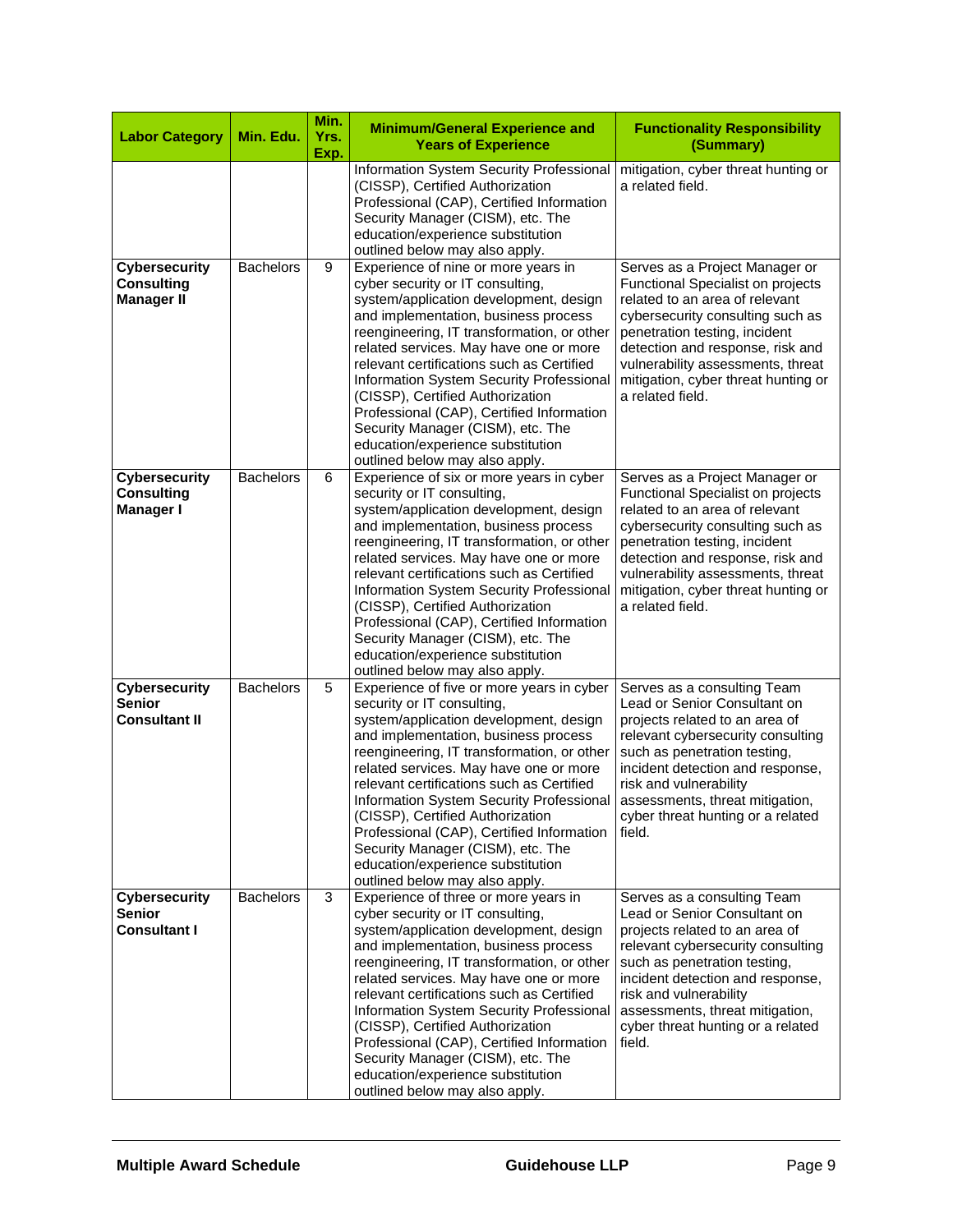| <b>Labor Category</b>                                          | Min. Edu.        | Min.<br>Yrs.<br>Exp. | <b>Minimum/General Experience and</b><br><b>Years of Experience</b>                                                                                                                                                                                                                                                                                                                                                                                                                                                                      | <b>Functionality Responsibility</b><br>(Summary)                                                                                                                                                                                                                                                                      |
|----------------------------------------------------------------|------------------|----------------------|------------------------------------------------------------------------------------------------------------------------------------------------------------------------------------------------------------------------------------------------------------------------------------------------------------------------------------------------------------------------------------------------------------------------------------------------------------------------------------------------------------------------------------------|-----------------------------------------------------------------------------------------------------------------------------------------------------------------------------------------------------------------------------------------------------------------------------------------------------------------------|
|                                                                |                  |                      | Information System Security Professional<br>(CISSP), Certified Authorization<br>Professional (CAP), Certified Information<br>Security Manager (CISM), etc. The<br>education/experience substitution<br>outlined below may also apply.                                                                                                                                                                                                                                                                                                    | mitigation, cyber threat hunting or<br>a related field.                                                                                                                                                                                                                                                               |
| <b>Cybersecurity</b><br><b>Consulting</b><br><b>Manager II</b> | <b>Bachelors</b> | 9                    | Experience of nine or more years in<br>cyber security or IT consulting,<br>system/application development, design<br>and implementation, business process<br>reengineering, IT transformation, or other<br>related services. May have one or more<br>relevant certifications such as Certified<br>Information System Security Professional<br>(CISSP), Certified Authorization<br>Professional (CAP), Certified Information<br>Security Manager (CISM), etc. The<br>education/experience substitution<br>outlined below may also apply.  | Serves as a Project Manager or<br>Functional Specialist on projects<br>related to an area of relevant<br>cybersecurity consulting such as<br>penetration testing, incident<br>detection and response, risk and<br>vulnerability assessments, threat<br>mitigation, cyber threat hunting or<br>a related field.        |
| <b>Cybersecurity</b><br><b>Consulting</b><br><b>Manager I</b>  | <b>Bachelors</b> | 6                    | Experience of six or more years in cyber<br>security or IT consulting,<br>system/application development, design<br>and implementation, business process<br>reengineering, IT transformation, or other<br>related services. May have one or more<br>relevant certifications such as Certified<br>Information System Security Professional<br>(CISSP), Certified Authorization<br>Professional (CAP), Certified Information<br>Security Manager (CISM), etc. The<br>education/experience substitution<br>outlined below may also apply.   | Serves as a Project Manager or<br><b>Functional Specialist on projects</b><br>related to an area of relevant<br>cybersecurity consulting such as<br>penetration testing, incident<br>detection and response, risk and<br>vulnerability assessments, threat<br>mitigation, cyber threat hunting or<br>a related field. |
| <b>Cybersecurity</b><br><b>Senior</b><br><b>Consultant II</b>  | <b>Bachelors</b> | 5                    | Experience of five or more years in cyber<br>security or IT consulting,<br>system/application development, design<br>and implementation, business process<br>reengineering, IT transformation, or other<br>related services. May have one or more<br>relevant certifications such as Certified<br>Information System Security Professional<br>(CISSP), Certified Authorization<br>Professional (CAP), Certified Information<br>Security Manager (CISM), etc. The<br>education/experience substitution<br>outlined below may also apply.  | Serves as a consulting Team<br>Lead or Senior Consultant on<br>projects related to an area of<br>relevant cybersecurity consulting<br>such as penetration testing,<br>incident detection and response,<br>risk and vulnerability<br>assessments, threat mitigation,<br>cyber threat hunting or a related<br>field.    |
| <b>Cybersecurity</b><br><b>Senior</b><br><b>Consultant I</b>   | <b>Bachelors</b> | 3                    | Experience of three or more years in<br>cyber security or IT consulting,<br>system/application development, design<br>and implementation, business process<br>reengineering, IT transformation, or other<br>related services. May have one or more<br>relevant certifications such as Certified<br>Information System Security Professional<br>(CISSP), Certified Authorization<br>Professional (CAP), Certified Information<br>Security Manager (CISM), etc. The<br>education/experience substitution<br>outlined below may also apply. | Serves as a consulting Team<br>Lead or Senior Consultant on<br>projects related to an area of<br>relevant cybersecurity consulting<br>such as penetration testing,<br>incident detection and response,<br>risk and vulnerability<br>assessments, threat mitigation,<br>cyber threat hunting or a related<br>field.    |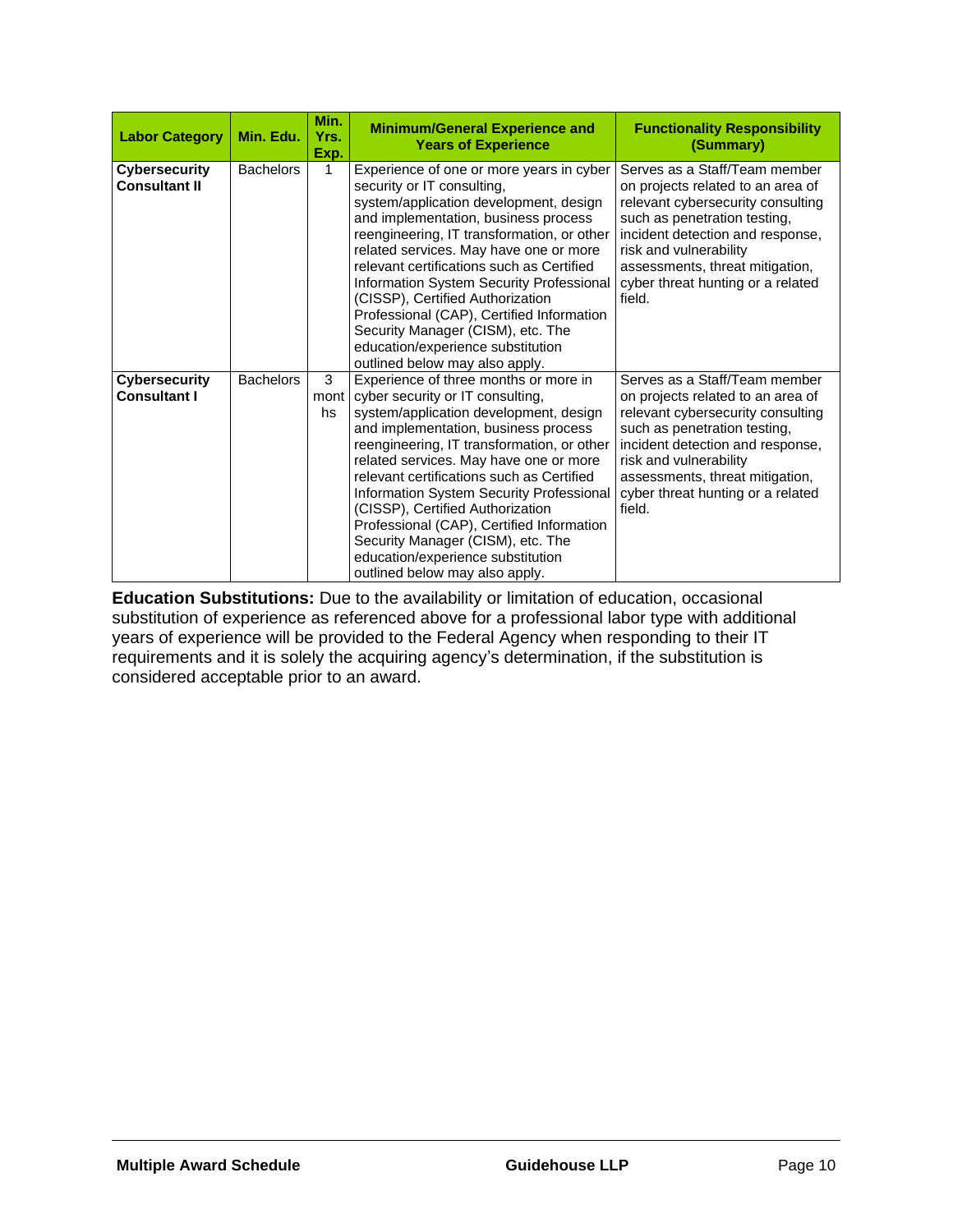| <b>Labor Category</b>                        | Min. Edu.        | Min.<br>Yrs.<br>Exp. | <b>Minimum/General Experience and</b><br><b>Years of Experience</b>                                                                                                                                                                                                                                                                                                                                                                                                                                                                       | <b>Functionality Responsibility</b><br>(Summary)                                                                                                                                                                                                                                        |  |
|----------------------------------------------|------------------|----------------------|-------------------------------------------------------------------------------------------------------------------------------------------------------------------------------------------------------------------------------------------------------------------------------------------------------------------------------------------------------------------------------------------------------------------------------------------------------------------------------------------------------------------------------------------|-----------------------------------------------------------------------------------------------------------------------------------------------------------------------------------------------------------------------------------------------------------------------------------------|--|
| <b>Cybersecurity</b><br><b>Consultant II</b> | <b>Bachelors</b> | 1                    | Experience of one or more years in cyber<br>security or IT consulting,<br>system/application development, design<br>and implementation, business process<br>reengineering, IT transformation, or other<br>related services. May have one or more<br>relevant certifications such as Certified<br>Information System Security Professional<br>(CISSP), Certified Authorization<br>Professional (CAP), Certified Information<br>Security Manager (CISM), etc. The<br>education/experience substitution<br>outlined below may also apply.    | Serves as a Staff/Team member<br>on projects related to an area of<br>relevant cybersecurity consulting<br>such as penetration testing,<br>incident detection and response,<br>risk and vulnerability<br>assessments, threat mitigation,<br>cyber threat hunting or a related<br>field. |  |
| <b>Cybersecurity</b><br><b>Consultant I</b>  | <b>Bachelors</b> | 3<br>mont<br>hs      | Experience of three months or more in<br>cyber security or IT consulting,<br>system/application development, design<br>and implementation, business process<br>reengineering, IT transformation, or other<br>related services. May have one or more<br>relevant certifications such as Certified<br>Information System Security Professional<br>(CISSP), Certified Authorization<br>Professional (CAP), Certified Information<br>Security Manager (CISM), etc. The<br>education/experience substitution<br>outlined below may also apply. | Serves as a Staff/Team member<br>on projects related to an area of<br>relevant cybersecurity consulting<br>such as penetration testing,<br>incident detection and response,<br>risk and vulnerability<br>assessments, threat mitigation,<br>cyber threat hunting or a related<br>field. |  |

**Education Substitutions:** Due to the availability or limitation of education, occasional substitution of experience as referenced above for a professional labor type with additional years of experience will be provided to the Federal Agency when responding to their IT requirements and it is solely the acquiring agency's determination, if the substitution is considered acceptable prior to an award.